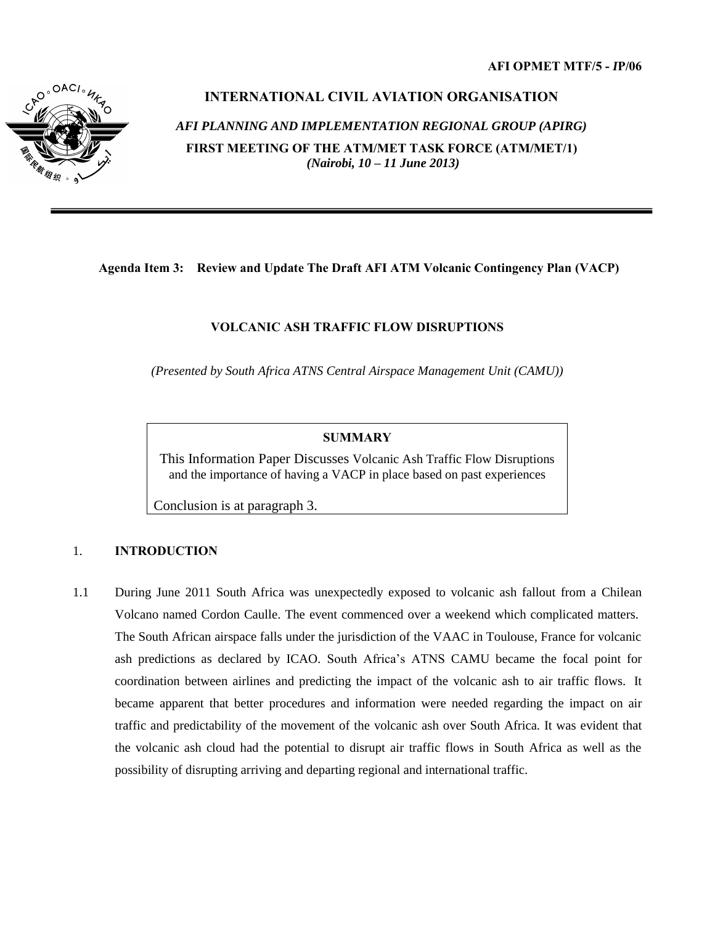

# **INTERNATIONAL CIVIL AVIATION ORGANISATION**

# *AFI PLANNING AND IMPLEMENTATION REGIONAL GROUP (APIRG)*

**FIRST MEETING OF THE ATM/MET TASK FORCE (ATM/MET/1)** *(Nairobi, 10 – 11 June 2013)*

# **Agenda Item 3: Review and Update The Draft AFI ATM Volcanic Contingency Plan (VACP)**

# **VOLCANIC ASH TRAFFIC FLOW DISRUPTIONS**

*(Presented by South Africa ATNS Central Airspace Management Unit (CAMU))* 

#### **SUMMARY**

This Information Paper Discusses Volcanic Ash Traffic Flow Disruptions and the importance of having a VACP in place based on past experiences

Conclusion is at paragraph 3.

# 1. **INTRODUCTION**

1.1 During June 2011 South Africa was unexpectedly exposed to volcanic ash fallout from a Chilean Volcano named Cordon Caulle. The event commenced over a weekend which complicated matters. The South African airspace falls under the jurisdiction of the VAAC in Toulouse, France for volcanic ash predictions as declared by ICAO. South Africa's ATNS CAMU became the focal point for coordination between airlines and predicting the impact of the volcanic ash to air traffic flows. It became apparent that better procedures and information were needed regarding the impact on air traffic and predictability of the movement of the volcanic ash over South Africa. It was evident that the volcanic ash cloud had the potential to disrupt air traffic flows in South Africa as well as the possibility of disrupting arriving and departing regional and international traffic.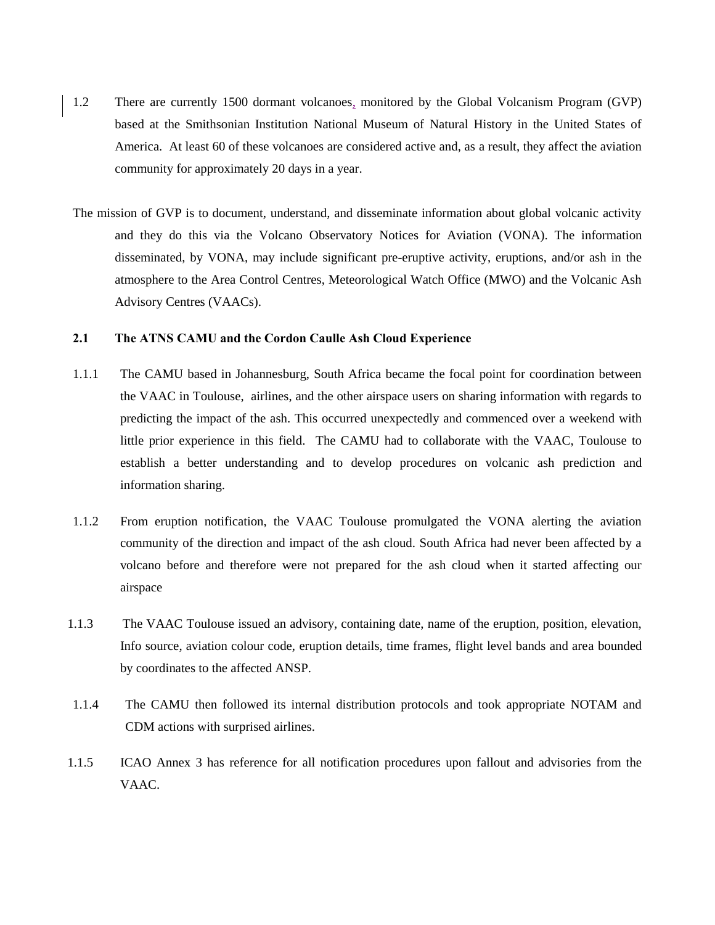- 1.2 There are currently 1500 dormant volcanoes, monitored by the Global Volcanism Program (GVP) based at the Smithsonian Institution National Museum of Natural History in the United States of America. At least 60 of these volcanoes are considered active and, as a result, they affect the aviation community for approximately 20 days in a year.
- The mission of GVP is to document, understand, and disseminate information about global volcanic activity and they do this via the Volcano Observatory Notices for Aviation (VONA). The information disseminated, by VONA, may include significant pre-eruptive activity, eruptions, and/or ash in the atmosphere to the Area Control Centres, Meteorological Watch Office (MWO) and the Volcanic Ash Advisory Centres (VAACs).

#### **2.1 The ATNS CAMU and the Cordon Caulle Ash Cloud Experience**

- 1.1.1 The CAMU based in Johannesburg, South Africa became the focal point for coordination between the VAAC in Toulouse, airlines, and the other airspace users on sharing information with regards to predicting the impact of the ash. This occurred unexpectedly and commenced over a weekend with little prior experience in this field. The CAMU had to collaborate with the VAAC, Toulouse to establish a better understanding and to develop procedures on volcanic ash prediction and information sharing.
- 1.1.2 From eruption notification, the VAAC Toulouse promulgated the VONA alerting the aviation community of the direction and impact of the ash cloud. South Africa had never been affected by a volcano before and therefore were not prepared for the ash cloud when it started affecting our airspace
- 1.1.3 The VAAC Toulouse issued an advisory, containing date, name of the eruption, position, elevation, Info source, aviation colour code, eruption details, time frames, flight level bands and area bounded by coordinates to the affected ANSP.
- 1.1.4 The CAMU then followed its internal distribution protocols and took appropriate NOTAM and CDM actions with surprised airlines.
- 1.1.5 ICAO Annex 3 has reference for all notification procedures upon fallout and advisories from the VAAC.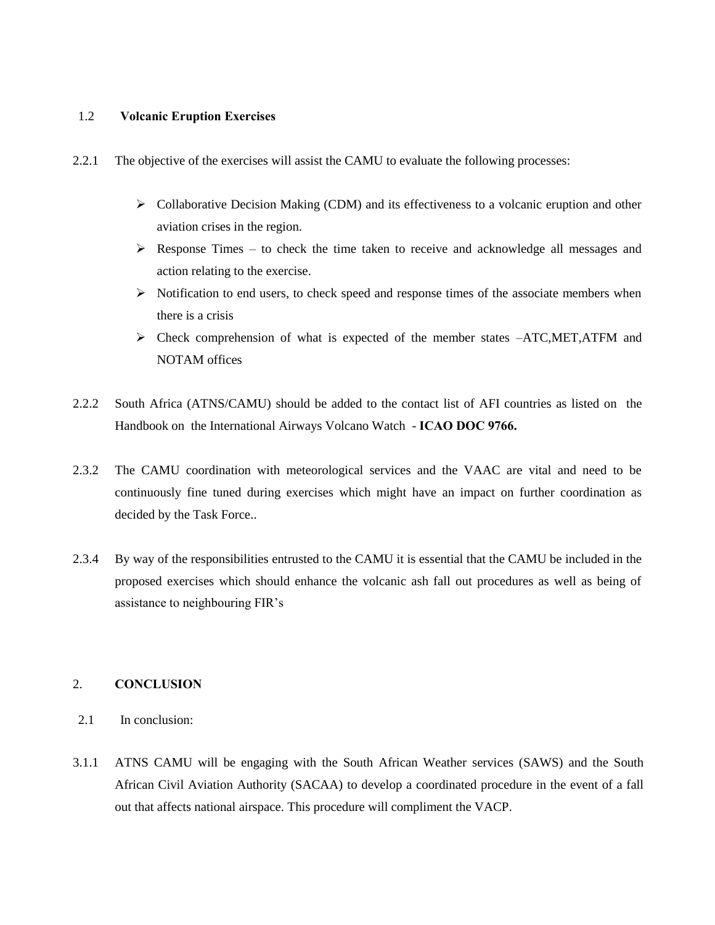#### 1.2 **Volcanic Eruption Exercises**

- 2.2.1 The objective of the exercises will assist the CAMU to evaluate the following processes:
	- Collaborative Decision Making (CDM) and its effectiveness to a volcanic eruption and other aviation crises in the region.
	- $\triangleright$  Response Times to check the time taken to receive and acknowledge all messages and action relating to the exercise.
	- $\triangleright$  Notification to end users, to check speed and response times of the associate members when there is a crisis
	- $\triangleright$  Check comprehension of what is expected of the member states  $-ATC.MET.ATFM$  and NOTAM offices
- 2.2.2 South Africa (ATNS/CAMU) should be added to the contact list of AFI countries as listed on the Handbook on the International Airways Volcano Watch - **ICAO DOC 9766.**
- 2.3.2 The CAMU coordination with meteorological services and the VAAC are vital and need to be continuously fine tuned during exercises which might have an impact on further coordination as decided by the Task Force..
- 2.3.4 By way of the responsibilities entrusted to the CAMU it is essential that the CAMU be included in the proposed exercises which should enhance the volcanic ash fall out procedures as well as being of assistance to neighbouring FIR's

# 2. **CONCLUSION**

- 2.1 In conclusion:
- 3.1.1 ATNS CAMU will be engaging with the South African Weather services (SAWS) and the South African Civil Aviation Authority (SACAA) to develop a coordinated procedure in the event of a fall out that affects national airspace. This procedure will compliment the VACP.